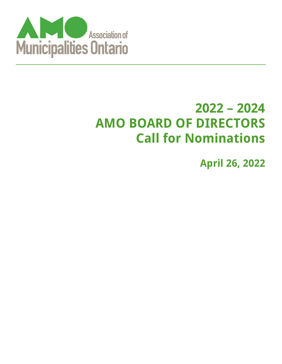

# **2022 – 2024 AMO BOARD OF DIRECTORS Call for Nominations**

**April 26, 2022**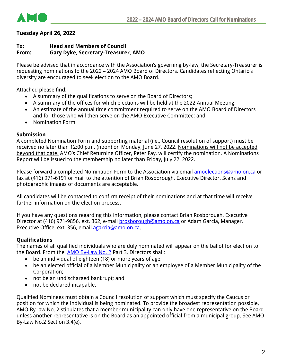

# **Tuesday April 26, 2022**

# **To: Head and Members of Council From: Gary Dyke, Secretary-Treasurer, AMO**

Please be advised that in accordance with the Association's governing by-law, the Secretary-Treasurer is requesting nominations to the 2022 – 2024 AMO Board of Directors. Candidates reflecting Ontario's diversity are encouraged to seek election to the AMO Board.

Attached please find:

- A summary of the qualifications to serve on the Board of Directors;
- A summary of the offices for which elections will be held at the 2022 Annual Meeting;
- An estimate of the annual time commitment required to serve on the AMO Board of Directors and for those who will then serve on the AMO Executive Committee; and
- Nomination Form

## **Submission**

A completed Nomination Form and supporting material (i.e., Council resolution of support) must be received no later than 12:00 p.m. (noon) on Monday, June 27, 2022. Nominations will not be accepted beyond that date. AMO's Chief Returning Officer, Peter Fay, will certify the nomination. A Nominations Report will be issued to the membership no later than Friday, July 22, 2022.

Please forward a completed Nomination Form to the Association via email **amoelections@amo.on.ca** or fax at (416) 971-6191 or mail to the attention of Brian Rosborough, Executive Director. Scans and photographic images of documents are acceptable.

All candidates will be contacted to confirm receipt of their nominations and at that time will receive further information on the election process.

If you have any questions regarding this information, please contact Brian Rosborough, Executive Director at (416) 971-9856, ext. 362, e-mail **brosborough@amo.on.ca** or Adam Garcia, Manager, Executive Office, ext. 356, email [agarcia@amo.on.ca.](mailto:agarcia@amo.on.ca)

# **Qualifications**

The names of all qualified individuals who are duly nominated will appear on the ballot for election to the Board. From the **[AMO By-Law No. 2](https://www.amo.on.ca/about-us/board-directors/amo-bylaw-no-2)** Part 3, Directors shall:

- be an individual of eighteen (18) or more years of age;
- be an elected official of a Member Municipality or an employee of a Member Municipality of the Corporation;
- not be an undischarged bankrupt; and
- not be declared incapable.

Qualified Nominees must obtain a Council resolution of support which must specify the Caucus or position for which the individual is being nominated. To provide the broadest representation possible, AMO By-law No. 2 stipulates that a member municipality can only have one representative on the Board unless another representative is on the Board as an appointed official from a municipal group. See AMO By-Law No.2 Section 3.4(e).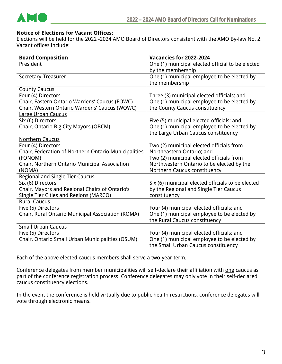

#### **Notice of Elections for Vacant Offices:**

Elections will be held for the 2022 -2024 AMO Board of Directors consistent with the AMO By-law No. 2. Vacant offices include:

| <b>Board Composition</b>                             | Vacancies for 2022-2024                           |
|------------------------------------------------------|---------------------------------------------------|
| President                                            | One (1) municipal elected official to be elected  |
|                                                      | by the membership                                 |
| Secretary-Treasurer                                  | One (1) municipal employee to be elected by       |
|                                                      | the membership                                    |
| <b>County Caucus</b>                                 |                                                   |
| Four (4) Directors                                   | Three (3) municipal elected officials; and        |
| Chair, Eastern Ontario Wardens' Caucus (EOWC)        | One (1) municipal employee to be elected by       |
| Chair, Western Ontario Wardens' Caucus (WOWC)        | the County Caucus constituency                    |
| <b>Large Urban Caucus</b>                            |                                                   |
| Six (6) Directors                                    | Five (5) municipal elected officials; and         |
| Chair, Ontario Big City Mayors (OBCM)                | One (1) municipal employee to be elected by       |
|                                                      | the Large Urban Caucus constituency               |
| <b>Northern Caucus</b>                               |                                                   |
| Four (4) Directors                                   | Two (2) municipal elected officials from          |
| Chair, Federation of Northern Ontario Municipalities | Northeastern Ontario; and                         |
| (FONOM)                                              | Two (2) municipal elected officials from          |
| Chair, Northern Ontario Municipal Association        | Northwestern Ontario to be elected by the         |
| (NOMA)                                               | Northern Caucus constituency                      |
| <b>Regional and Single Tier Caucus</b>               |                                                   |
| Six (6) Directors                                    | Six (6) municipal elected officials to be elected |
| Chair, Mayors and Regional Chairs of Ontario's       | by the Regional and Single Tier Caucus            |
| <b>Single Tier Cities and Regions (MARCO)</b>        | constituency                                      |
| <b>Rural Caucus</b>                                  |                                                   |
| Five (5) Directors                                   | Four (4) municipal elected officials; and         |
| Chair, Rural Ontario Municipal Association (ROMA)    | One (1) municipal employee to be elected by       |
|                                                      | the Rural Caucus constituency                     |
| <b>Small Urban Caucus</b>                            |                                                   |
| Five (5) Directors                                   | Four (4) municipal elected officials; and         |
| Chair, Ontario Small Urban Municipalities (OSUM)     | One (1) municipal employee to be elected by       |
|                                                      | the Small Urban Caucus constituency               |

Each of the above elected caucus members shall serve a two-year term.

Conference delegates from member municipalities will self-declare their affiliation with one caucus as part of the conference registration process. Conference delegates may only vote in their self-declared caucus constituency elections.

In the event the conference is held virtually due to public health restrictions, conference delegates will vote through electronic means.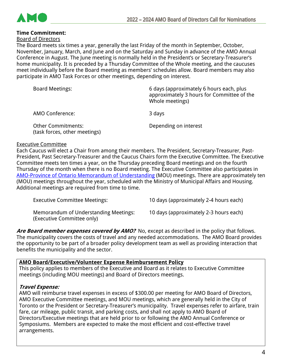

#### **Time Commitment:**

Board of Directors

The Board meets six times a year, generally the last Friday of the month in September, October, November, January, March, and June and on the Saturday and Sunday in advance of the AMO Annual Conference in August. The June meeting is normally held in the President's or Secretary-Treasurer's home municipality. It is preceded by a Thursday Committee of the Whole meeting, and the caucuses meet individually before the Board meeting as members' schedules allow. Board members may also participate in AMO Task Forces or other meetings, depending on interest.

| <b>Board Meetings:</b>                                     | 6 days (approximately 6 hours each, plus<br>approximately 3 hours for Committee of the<br>Whole meetings) |
|------------------------------------------------------------|-----------------------------------------------------------------------------------------------------------|
| AMO Conference:                                            | 3 days                                                                                                    |
| <b>Other Commitments:</b><br>(task forces, other meetings) | Depending on interest                                                                                     |

#### Executive Committee

Each Caucus will elect a Chair from among their members. The President, Secretary-Treasurer, Past-President, Past Secretary-Treasurer and the Caucus Chairs form the Executive Committee. The Executive Committee meets ten times a year, on the Thursday preceding Board meetings and on the fourth Thursday of the month when there is no Board meeting. The Executive Committee also participates in [AMO-Province of Ontario Memorandum of Understanding](https://www.amo.on.ca/about-us/our-impact/memorandum-understanding) (MOU) meetings. There are approximately ten (MOU) meetings throughout the year, scheduled with the Ministry of Municipal Affairs and Housing. Additional meetings are required from time to time.

| <b>Executive Committee Meetings:</b>                                | 10 days (approximately 2-4 hours each) |
|---------------------------------------------------------------------|----------------------------------------|
| Memorandum of Understanding Meetings:<br>(Executive Committee only) | 10 days (approximately 2-3 hours each) |

Are Board member expenses covered by AMO? No, except as described in the policy that follows. The municipality covers the costs of travel and any needed accommodations. The AMO Board provides the opportunity to be part of a broader policy development team as well as providing interaction that benefits the municipality and the sector.

#### **AMO Board/Executive/Volunteer Expense Reimbursement Policy**

This policy applies to members of the Executive and Board as it relates to Executive Committee meetings (including MOU meetings) and Board of Directors meetings.

#### **Travel Expense:**

AMO will reimburse travel expenses in excess of \$300.00 per meeting for AMO Board of Directors, AMO Executive Committee meetings, and MOU meetings, which are generally held in the City of Toronto or the President or Secretary-Treasurer's municipality. Travel expenses refer to airfare, train fare, car mileage, public transit, and parking costs, and shall not apply to AMO Board of Directors/Executive meetings that are held prior to or following the AMO Annual Conference or Symposiums. Members are expected to make the most efficient and cost-effective travel arrangements.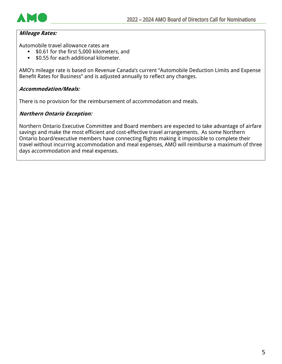

# **Mileage Rates:**

Automobile travel allowance rates are

- \$0.61 for the first 5,000 kilometers, and
- \$0.55 for each additional kilometer.

AMO's mileage rate is based on Revenue Canada's current "Automobile Deduction Limits and Expense Benefit Rates for Business" and is adjusted annually to reflect any changes.

## **Accommodation/Meals:**

There is no provision for the reimbursement of accommodation and meals.

## **Northern Ontario Exception:**

Northern Ontario Executive Committee and Board members are expected to take advantage of airfare savings and make the most efficient and cost-effective travel arrangements. As some Northern Ontario board/executive members have connecting flights making it impossible to complete their travel without incurring accommodation and meal expenses, AMO will reimburse a maximum of three days accommodation and meal expenses.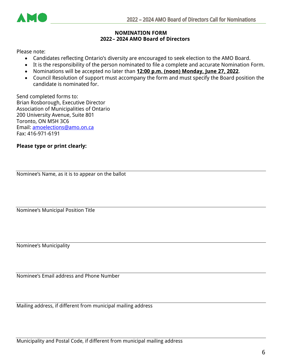

## **NOMINATION FORM 2022– 2024 AMO Board of Directors**

Please note:

- Candidates reflecting Ontario's diversity are encouraged to seek election to the AMO Board.
- It is the responsibility of the person nominated to file a complete and accurate Nomination Form.
- Nominations will be accepted no later than **12:00 p.m. (noon) Monday, June 27, 2022**.
- Council Resolution of support must accompany the form and must specify the Board position the candidate is nominated for.

Send completed forms to: Brian Rosborough, Executive Director Association of Municipalities of Ontario 200 University Avenue, Suite 801 Toronto, ON M5H 3C6 Email: [amoelections@amo.on.ca](mailto:amoelections@amo.on.ca) Fax: 416-971-6191

# **Please type or print clearly:**

Nominee's Name, as it is to appear on the ballot

Nominee's Municipal Position Title

Nominee's Municipality

Nominee's Email address and Phone Number

Mailing address, if different from municipal mailing address